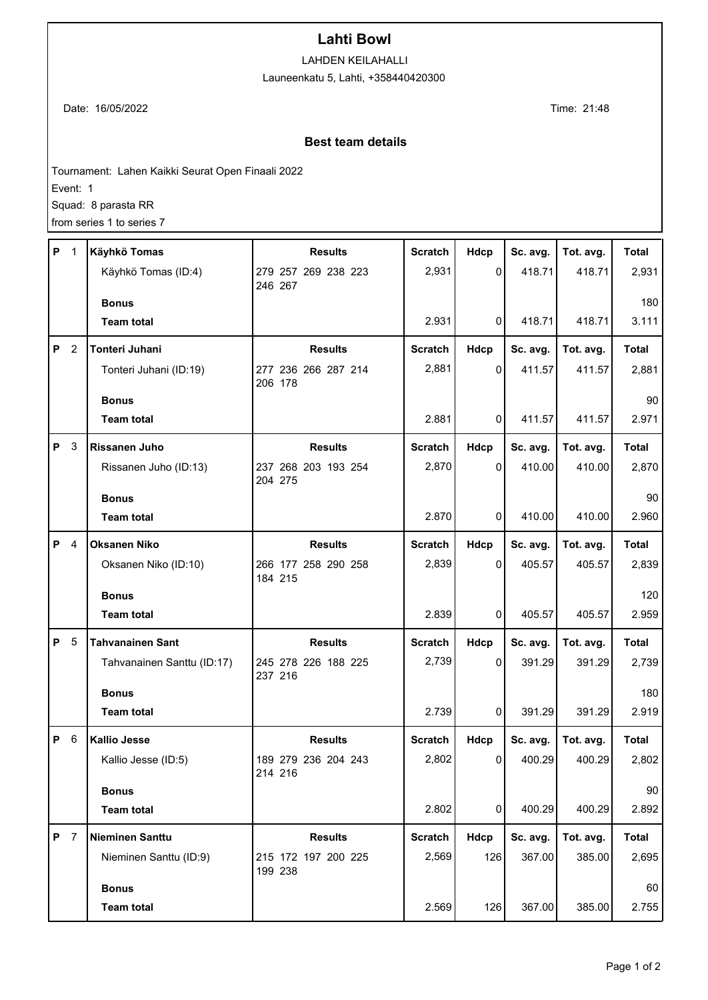## **Lahti Bowl**

LAHDEN KEILAHALLI

Launeenkatu 5, Lahti, +358440420300

Date: 16/05/2022 Time: 21:48

## **Best team details**

Tournament: Lahen Kaikki Seurat Open Finaali 2022

Event: 1

Squad: 8 parasta RR

from series 1 to series 7

| P          | $\overline{1}$ | Käyhkö Tomas               | <b>Results</b>                 | <b>Scratch</b> | Hdcp         | Sc. avg. | Tot. avg. | <b>Total</b> |
|------------|----------------|----------------------------|--------------------------------|----------------|--------------|----------|-----------|--------------|
|            |                | Käyhkö Tomas (ID:4)        | 279 257 269 238 223<br>246 267 | 2,931          | $\Omega$     | 418.71   | 418.71    | 2,931        |
|            |                | <b>Bonus</b>               |                                |                |              |          |           | 180          |
|            |                | <b>Team total</b>          |                                | 2.931          | 0            | 418.71   | 418.71    | 3.111        |
| P          | $\overline{2}$ | Tonteri Juhani             | <b>Results</b>                 | <b>Scratch</b> | Hdcp         | Sc. avg. | Tot. avg. | <b>Total</b> |
|            |                | Tonteri Juhani (ID:19)     | 277 236 266 287 214<br>206 178 | 2,881          | $\mathbf{0}$ | 411.57   | 411.57    | 2,881        |
|            |                | <b>Bonus</b>               |                                |                |              |          |           | 90           |
|            |                | <b>Team total</b>          |                                | 2.881          | 0            | 411.57   | 411.57    | 2.971        |
| P          | 3              | Rissanen Juho              | <b>Results</b>                 | <b>Scratch</b> | Hdcp         | Sc. avg. | Tot. avg. | <b>Total</b> |
|            |                | Rissanen Juho (ID:13)      | 237 268 203 193 254<br>204 275 | 2,870          | $\mathbf{0}$ | 410.00   | 410.00    | 2,870        |
|            |                | <b>Bonus</b>               |                                |                |              |          |           | 90           |
|            |                | <b>Team total</b>          |                                | 2.870          | 0            | 410.00   | 410.00    | 2.960        |
| P          | 4              | <b>Oksanen Niko</b>        | <b>Results</b>                 | <b>Scratch</b> | Hdcp         | Sc. avg. | Tot. avg. | <b>Total</b> |
|            |                | Oksanen Niko (ID:10)       | 266 177 258 290 258<br>184 215 | 2,839          | $\Omega$     | 405.57   | 405.57    | 2,839        |
|            |                | <b>Bonus</b>               |                                |                |              |          |           | 120          |
|            |                | <b>Team total</b>          |                                | 2.839          | 0            | 405.57   | 405.57    | 2.959        |
| P          | 5              | <b>Tahvanainen Sant</b>    | <b>Results</b>                 | <b>Scratch</b> | Hdcp         | Sc. avg. | Tot. avg. | <b>Total</b> |
|            |                | Tahvanainen Santtu (ID:17) | 245 278 226 188 225<br>237 216 | 2,739          | 0            | 391.29   | 391.29    | 2,739        |
|            |                | <b>Bonus</b>               |                                |                |              |          |           | 180          |
|            |                | <b>Team total</b>          |                                | 2.739          | 0            | 391.29   | 391.29    | 2.919        |
| P          | 6              | <b>Kallio Jesse</b>        | <b>Results</b>                 | <b>Scratch</b> | Hdcp         | Sc. avg. | Tot. avg. | Total        |
|            |                | Kallio Jesse (ID:5)        | 189 279 236 204 243<br>214 216 | 2,802          | 0            | 400.29   | 400.29    | 2,802        |
|            |                | <b>Bonus</b>               |                                |                |              |          |           | 90           |
|            |                | <b>Team total</b>          |                                | 2.802          | 0            | 400.29   | 400.29    | 2.892        |
| <b>P</b> 7 |                | <b>Nieminen Santtu</b>     | <b>Results</b>                 | <b>Scratch</b> | Hdcp         | Sc. avg. | Tot. avg. | <b>Total</b> |
|            |                | Nieminen Santtu (ID:9)     | 215 172 197 200 225<br>199 238 | 2,569          | 126          | 367.00   | 385.00    | 2,695        |
|            |                | <b>Bonus</b>               |                                |                |              |          |           | 60           |
|            |                | <b>Team total</b>          |                                | 2.569          | 126          | 367.00   | 385.00    | 2.755        |